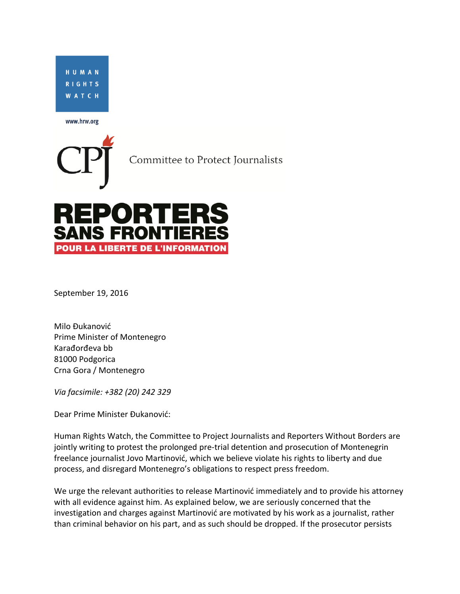

www.hrw.org

Committee to Protect Journalists

## **REPORTE SANS FRONTIE POUR LA LIBERTE DE L'INFORMATION**

September 19, 2016

Milo Đukanović Prime Minister of Montenegro Karađorđeva bb 81000 Podgorica Crna Gora / Montenegro

*Via facsimile: +382 (20) 242 329*

Dear Prime Minister Đukanović:

Human Rights Watch, the Committee to Project Journalists and Reporters Without Borders are jointly writing to protest the prolonged pre-trial detention and prosecution of Montenegrin freelance journalist Jovo Martinović, which we believe violate his rights to liberty and due process, and disregard Montenegro's obligations to respect press freedom.

We urge the relevant authorities to release Martinović immediately and to provide his attorney with all evidence against him. As explained below, we are seriously concerned that the investigation and charges against Martinović are motivated by his work as a journalist, rather than criminal behavior on his part, and as such should be dropped. If the prosecutor persists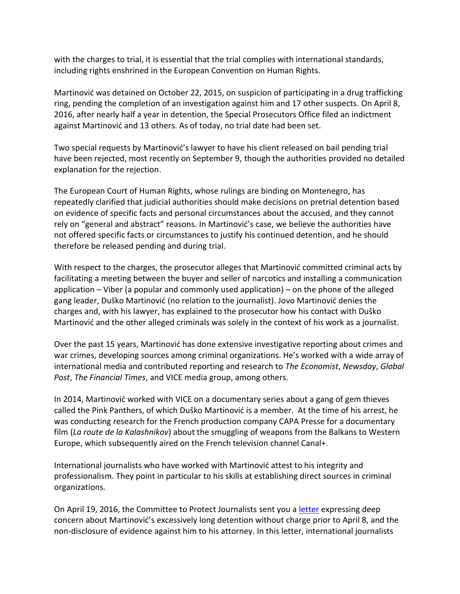with the charges to trial, it is essential that the trial complies with international standards, including rights enshrined in the European Convention on Human Rights.

Martinović was detained on October 22, 2015, on suspicion of participating in a drug trafficking ring, pending the completion of an investigation against him and 17 other suspects. On April 8, 2016, after nearly half a year in detention, the Special Prosecutors Office filed an indictment against Martinović and 13 others. As of today, no trial date had been set.

Two special requests by Martinović's lawyer to have his client released on bail pending trial have been rejected, most recently on September 9, though the authorities provided no detailed explanation for the rejection.

The European Court of Human Rights, whose rulings are binding on Montenegro, has repeatedly clarified that judicial authorities should make decisions on pretrial detention based on evidence of specific facts and personal circumstances about the accused, and they cannot rely on "general and abstract" reasons. In Martinović's case, we believe the authorities have not offered specific facts or circumstances to justify his continued detention, and he should therefore be released pending and during trial.

With respect to the charges, the prosecutor alleges that Martinović committed criminal acts by facilitating a meeting between the buyer and seller of narcotics and installing a communication application – Viber (a popular and commonly used application) – on the phone of the alleged gang leader, Duško Martinović (no relation to the journalist). Jovo Martinović denies the charges and, with his lawyer, has explained to the prosecutor how his contact with Duško Martinović and the other alleged criminals was solely in the context of his work as a journalist.

Over the past 15 years, Martinović has done extensive investigative reporting about crimes and war crimes, developing sources among criminal organizations. He's worked with a wide array of international media and contributed reporting and research to *The Economist*, *Newsday*, *Global Post*, *The Financial Times*, and VICE media group, among others.

In 2014, Martinović worked with VICE on a documentary series about a gang of gem thieves called the Pink Panthers, of which Duško Martinović is a member. At the time of his arrest, he was conducting research for the French production company CAPA Presse for a documentary film (*La route de la Kalashnikov*) about the smuggling of weapons from the Balkans to Western Europe, which subsequently aired on the French television channel Canal+.

International journalists who have worked with Martinović attest to his integrity and professionalism. They point in particular to his skills at establishing direct sources in criminal organizations.

On April 19, 2016, the Committee to Protect Journalists sent you [a letter](https://cpj.org/2016/04/cpj-writes-to-montenegrin-prime-minister-milo-duka.php) expressing deep concern about Martinović's excessively long detention without charge prior to April 8, and the non-disclosure of evidence against him to his attorney. In this letter, international journalists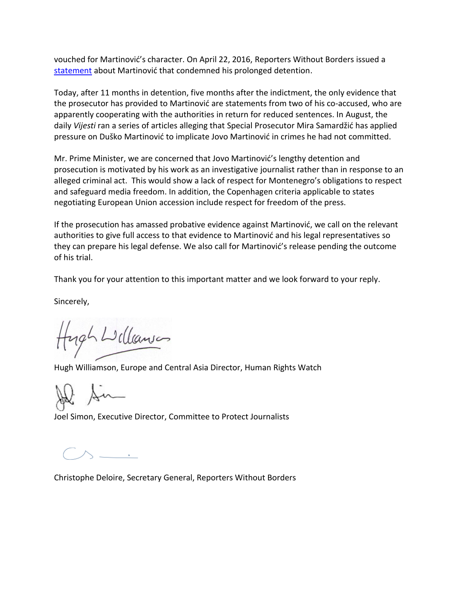vouched for Martinović's character. On April 22, 2016, Reporters Without Borders issued a [statement](https://rsf.org/en/news/journalist-completes-six-months-detention-without-charge) about Martinović that condemned his prolonged detention.

Today, after 11 months in detention, five months after the indictment, the only evidence that the prosecutor has provided to Martinović are statements from two of his co-accused, who are apparently cooperating with the authorities in return for reduced sentences. In August, the daily *Vijesti* ran a series of articles alleging that Special Prosecutor Mira Samardžić has applied pressure on Duško Martinović to implicate Jovo Martinović in crimes he had not committed.

Mr. Prime Minister, we are concerned that Jovo Martinović's lengthy detention and prosecution is motivated by his work as an investigative journalist rather than in response to an alleged criminal act. This would show a lack of respect for Montenegro's obligations to respect and safeguard media freedom. In addition, the Copenhagen criteria applicable to states negotiating European Union accession include respect for freedom of the press.

If the prosecution has amassed probative evidence against Martinović, we call on the relevant authorities to give full access to that evidence to Martinović and his legal representatives so they can prepare his legal defense. We also call for Martinović's release pending the outcome of his trial.

Thank you for your attention to this important matter and we look forward to your reply.

Sincerely,

ugh Williamson

Hugh Williamson, Europe and Central Asia Director, Human Rights Watch

An

Joel Simon, Executive Director, Committee to Protect Journalists

 $\mathbin{\overset{\textup{}}{\frown}}$   $\mathbin{\overset{\textup{}}{\frown}}$ 

Christophe Deloire, Secretary General, Reporters Without Borders